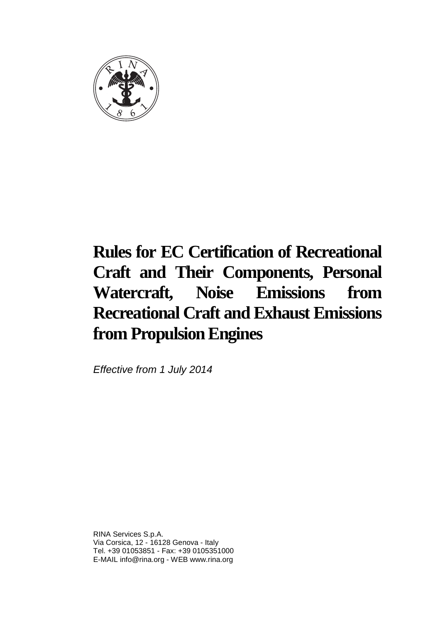

Effective from 1 July 2014

RINA Services S.p.A. Via Corsica, 12 - 16128 Genova - Italy Tel. +39 01053851 - Fax: +39 0105351000 E-MAIL info@rina.org - WEB www.rina.org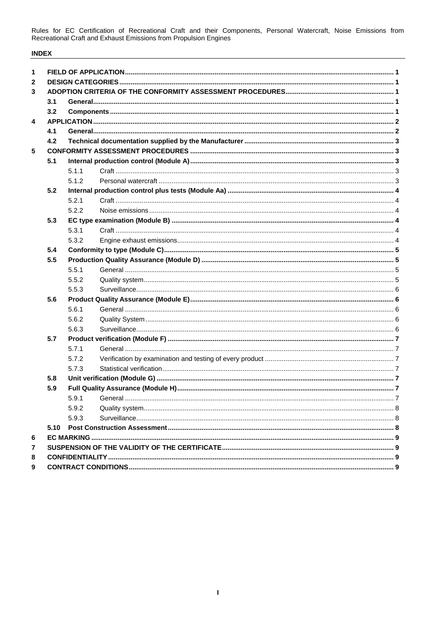# **INDEX**

| 1            |      |       |  |  |  |  |  |
|--------------|------|-------|--|--|--|--|--|
| $\mathbf{2}$ |      |       |  |  |  |  |  |
| 3            |      |       |  |  |  |  |  |
|              | 3.1  |       |  |  |  |  |  |
|              | 3.2  |       |  |  |  |  |  |
| 4            |      |       |  |  |  |  |  |
|              | 4.1  |       |  |  |  |  |  |
|              | 4.2  |       |  |  |  |  |  |
| 5            |      |       |  |  |  |  |  |
|              | 5.1  |       |  |  |  |  |  |
|              |      | 5.1.1 |  |  |  |  |  |
|              |      | 5.1.2 |  |  |  |  |  |
|              | 5.2  |       |  |  |  |  |  |
|              |      | 5.2.1 |  |  |  |  |  |
|              |      | 5.2.2 |  |  |  |  |  |
|              | 5.3  |       |  |  |  |  |  |
|              |      | 5.3.1 |  |  |  |  |  |
|              |      | 5.3.2 |  |  |  |  |  |
|              | 5.4  |       |  |  |  |  |  |
|              | 5.5  |       |  |  |  |  |  |
|              |      | 5.5.1 |  |  |  |  |  |
|              |      | 5.5.2 |  |  |  |  |  |
|              |      | 5.5.3 |  |  |  |  |  |
|              | 5.6  |       |  |  |  |  |  |
|              |      | 5.6.1 |  |  |  |  |  |
|              |      | 5.6.2 |  |  |  |  |  |
|              |      | 5.6.3 |  |  |  |  |  |
|              | 5.7  |       |  |  |  |  |  |
|              |      | 5.7.1 |  |  |  |  |  |
|              |      | 5.7.2 |  |  |  |  |  |
|              |      | 5.7.3 |  |  |  |  |  |
|              | 5.8  |       |  |  |  |  |  |
|              | 5.9  |       |  |  |  |  |  |
|              |      | 5.9.1 |  |  |  |  |  |
|              |      | 5.9.2 |  |  |  |  |  |
|              |      | 5.9.3 |  |  |  |  |  |
|              | 5.10 |       |  |  |  |  |  |
| 6            |      |       |  |  |  |  |  |
| 7            |      |       |  |  |  |  |  |
| 8            |      |       |  |  |  |  |  |
| 9            |      |       |  |  |  |  |  |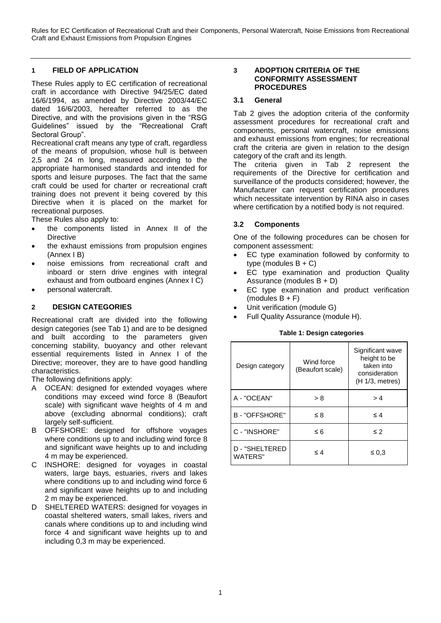## <span id="page-3-0"></span>**1 FIELD OF APPLICATION**

These Rules apply to EC certification of recreational craft in accordance with Directive 94/25/EC dated 16/6/1994, as amended by Directive 2003/44/EC dated 16/6/2003, hereafter referred to as the Directive, and with the provisions given in the "RSG Guidelines" issued by the "Recreational Craft Sectoral Group".

Recreational craft means any type of craft, regardless of the means of propulsion, whose hull is between 2,5 and 24 m long, measured according to the appropriate harmonised standards and intended for sports and leisure purposes. The fact that the same craft could be used for charter or recreational craft training does not prevent it being covered by this Directive when it is placed on the market for recreational purposes.

These Rules also apply to:

- the components listed in Annex II of the **Directive**
- the exhaust emissions from propulsion engines (Annex I B)
- noise emissions from recreational craft and inboard or stern drive engines with integral exhaust and from outboard engines (Annex I C)
- personal watercraft.

# <span id="page-3-1"></span>**2 DESIGN CATEGORIES**

Recreational craft are divided into the following design categories (see Tab 1) and are to be designed and built according to the parameters given concerning stability, buoyancy and other relevant essential requirements listed in Annex I of the Directive; moreover, they are to have good handling characteristics.

The following definitions apply:

- A OCEAN: designed for extended voyages where conditions may exceed wind force 8 (Beaufort scale) with significant wave heights of 4 m and above (excluding abnormal conditions); craft largely self-sufficient.
- B OFFSHORE: designed for offshore voyages where conditions up to and including wind force 8 and significant wave heights up to and including 4 m may be experienced.
- C INSHORE: designed for voyages in coastal waters, large bays, estuaries, rivers and lakes where conditions up to and including wind force 6 and significant wave heights up to and including 2 m may be experienced.
- D SHELTERED WATERS: designed for voyages in coastal sheltered waters, small lakes, rivers and canals where conditions up to and including wind force 4 and significant wave heights up to and including 0,3 m may be experienced.

#### <span id="page-3-2"></span>**3 ADOPTION CRITERIA OF THE CONFORMITY ASSESSMENT PROCEDURES**

#### <span id="page-3-3"></span>**3.1 General**

Tab 2 gives the adoption criteria of the conformity assessment procedures for recreational craft and components, personal watercraft, noise emissions and exhaust emissions from engines; for recreational craft the criteria are given in relation to the design category of the craft and its length.

The criteria given in Tab 2 represent the requirements of the Directive for certification and surveillance of the products considered; however, the Manufacturer can request certification procedures which necessitate intervention by RINA also in cases where certification by a notified body is not required.

# <span id="page-3-4"></span>**3.2 Components**

One of the following procedures can be chosen for component assessment:

- EC type examination followed by conformity to type (modules  $B + C$ )
- EC type examination and production Quality Assurance (modules B + D)
- EC type examination and product verification  $(modles B + F)$
- Unit verification (module G)
- Full Quality Assurance (module H).

#### **Table 1: Design categories**

| Design category           | Wind force<br>(Beaufort scale) | Significant wave<br>height to be<br>taken into<br>consideration<br>(H 1/3, metres) |
|---------------------------|--------------------------------|------------------------------------------------------------------------------------|
| A - "OCEAN"               | > 8                            | >4                                                                                 |
| B-"OFFSHORE"              | ≤8                             | $\leq 4$                                                                           |
| C - "INSHORE"             | $\leq 6$                       | $\leq 2$                                                                           |
| D - "SHELTERED<br>WATERS" | $\leq 4$                       | $\leq 0.3$                                                                         |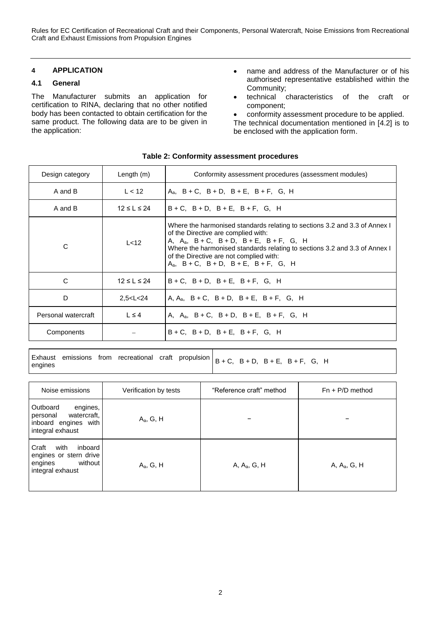# <span id="page-4-0"></span>**4 APPLICATION**

# <span id="page-4-1"></span>**4.1 General**

The Manufacturer submits an application for certification to RINA, declaring that no other notified body has been contacted to obtain certification for the same product. The following data are to be given in the application:

- name and address of the Manufacturer or of his authorised representative established within the Community;
- technical characteristics of the craft or component;
- conformity assessment procedure to be applied.
- The technical documentation mentioned in [4.2] is to be enclosed with the application form.

| Design category     | Length $(m)$      | Conformity assessment procedures (assessment modules)                                                                                                                                                                                                                                                                                                         |
|---------------------|-------------------|---------------------------------------------------------------------------------------------------------------------------------------------------------------------------------------------------------------------------------------------------------------------------------------------------------------------------------------------------------------|
| A and B             | L < 12            | $A_a$ , $B + C$ , $B + D$ , $B + E$ , $B + F$ , $G$ , H                                                                                                                                                                                                                                                                                                       |
| A and B             | $12 \le L \le 24$ | $B+C$ , $B+D$ , $B+E$ , $B+F$ , G, H                                                                                                                                                                                                                                                                                                                          |
| C                   | L < 12            | Where the harmonised standards relating to sections 3.2 and 3.3 of Annex I<br>of the Directive are complied with:<br>A, A <sub>a</sub> , B + C, B + D, B + E, B + F, G, H<br>Where the harmonised standards relating to sections 3.2 and 3.3 of Annex I<br>of the Directive are not complied with:<br>$A_a$ , $B + C$ , $B + D$ , $B + E$ , $B + F$ , $G$ , H |
| C                   | $12 \le L \le 24$ | $B+C$ , $B+D$ , $B+E$ , $B+F$ , $G$ , H                                                                                                                                                                                                                                                                                                                       |
| D                   | 2,5 < L < 24      | A, A <sub>a</sub> , B + C, B + D, B + E, B + F, G, H                                                                                                                                                                                                                                                                                                          |
| Personal watercraft | $L \leq 4$        | A, $A_a$ , $B+C$ , $B+D$ , $B+E$ , $B+F$ , $G$ , H                                                                                                                                                                                                                                                                                                            |
| Components          |                   | $B+C$ , $B+D$ , $B+E$ , $B+F$ , $G$ , $H$                                                                                                                                                                                                                                                                                                                     |

#### **Table 2: Conformity assessment procedures**

Exhaust emissions from recreational craft propulsion Exhaust emissions from recreational craft propulsion  $B + C$ ,  $B + D$ ,  $B + E$ ,  $B + F$ , G, H engines

| Noise emissions                                                                                | Verification by tests | "Reference craft" method | $Fn + P/D$ method |
|------------------------------------------------------------------------------------------------|-----------------------|--------------------------|-------------------|
| Outboard<br>engines,<br>watercraft,<br>personal<br>inboard engines with<br>integral exhaust    | $A_a$ , G, H          |                          |                   |
| Craft<br>with<br>inboard<br>engines or stern drive<br>without I<br>engines<br>integral exhaust | $A_a$ , G, H          | A, $A_a$ , G, H          | A, $A_a$ , G, H   |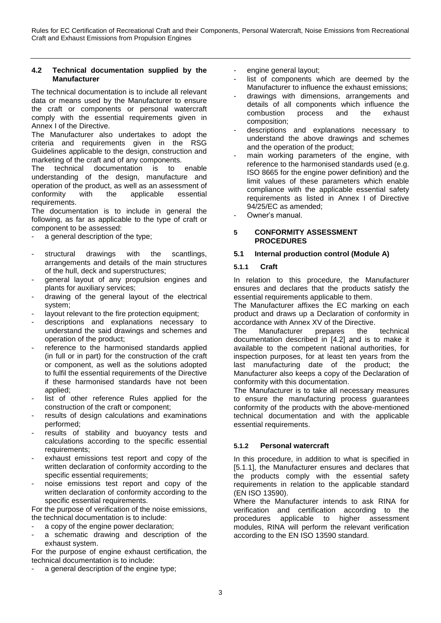#### <span id="page-5-0"></span>**4.2 Technical documentation supplied by the Manufacturer**

The technical documentation is to include all relevant data or means used by the Manufacturer to ensure the craft or components or personal watercraft comply with the essential requirements given in Annex I of the Directive.

The Manufacturer also undertakes to adopt the criteria and requirements given in the RSG Guidelines applicable to the design, construction and marketing of the craft and of any components.<br>The technical documentation is to

The technical documentation is to enable understanding of the design, manufacture and operation of the product, as well as an assessment of<br>conformity with the applicable essential conformity with the applicable essential requirements.

The documentation is to include in general the following, as far as applicable to the type of craft or component to be assessed:

- a general description of the type;
- structural drawings with the scantlings, arrangements and details of the main structures of the hull, deck and superstructures;
- general layout of any propulsion engines and plants for auxiliary services;
- drawing of the general layout of the electrical system;
- layout relevant to the fire protection equipment;
- descriptions and explanations necessary to understand the said drawings and schemes and operation of the product;
- reference to the harmonised standards applied (in full or in part) for the construction of the craft or component, as well as the solutions adopted to fulfil the essential requirements of the Directive if these harmonised standards have not been applied;
- list of other reference Rules applied for the construction of the craft or component;
- results of design calculations and examinations performed;
- results of stability and buoyancy tests and calculations according to the specific essential requirements;
- exhaust emissions test report and copy of the written declaration of conformity according to the specific essential requirements;
- noise emissions test report and copy of the written declaration of conformity according to the specific essential requirements.

For the purpose of verification of the noise emissions, the technical documentation is to include:

- a copy of the engine power declaration;
- a schematic drawing and description of the exhaust system.

For the purpose of engine exhaust certification, the technical documentation is to include:

a general description of the engine type;

- engine general layout;
- list of components which are deemed by the Manufacturer to influence the exhaust emissions;
- drawings with dimensions, arrangements and details of all components which influence the<br>combustion process and the exhaust combustion composition;
- descriptions and explanations necessary to understand the above drawings and schemes and the operation of the product;
- main working parameters of the engine, with reference to the harmonised standards used (e.g. ISO 8665 for the engine power definition) and the limit values of these parameters which enable compliance with the applicable essential safety requirements as listed in Annex I of Directive 94/25/EC as amended;
- Owner's manual.

#### <span id="page-5-1"></span>**5 CONFORMITY ASSESSMENT PROCEDURES**

# <span id="page-5-2"></span>**5.1 Internal production control (Module A)**

# <span id="page-5-3"></span>**5.1.1 Craft**

In relation to this procedure, the Manufacturer ensures and declares that the products satisfy the essential requirements applicable to them.

The Manufacturer affixes the EC marking on each product and draws up a Declaration of conformity in accordance with Annex XV of the Directive.

The Manufacturer prepares the technical documentation described in [4.2] and is to make it available to the competent national authorities, for inspection purposes, for at least ten years from the last manufacturing date of the product; the Manufacturer also keeps a copy of the Declaration of conformity with this documentation.

The Manufacturer is to take all necessary measures to ensure the manufacturing process guarantees conformity of the products with the above-mentioned technical documentation and with the applicable essential requirements.

# <span id="page-5-4"></span>**5.1.2 Personal watercraft**

In this procedure, in addition to what is specified in [5.1.1], the Manufacturer ensures and declares that the products comply with the essential safety requirements in relation to the applicable standard (EN ISO 13590).

Where the Manufacturer intends to ask RINA for verification and certification according to the procedures applicable to higher assessment modules, RINA will perform the relevant verification according to the EN ISO 13590 standard.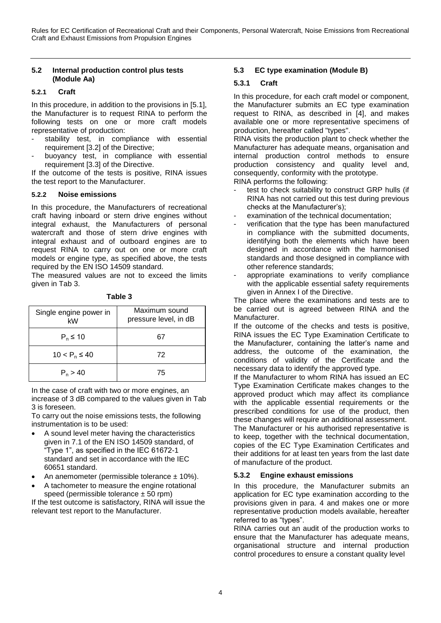## <span id="page-6-0"></span>**5.2 Internal production control plus tests (Module Aa)**

## <span id="page-6-1"></span>**5.2.1 Craft**

In this procedure, in addition to the provisions in [5.1], the Manufacturer is to request RINA to perform the following tests on one or more craft models representative of production:

- stability test, in compliance with essential requirement [3.2] of the Directive;
- buoyancy test, in compliance with essential requirement [3.3] of the Directive.

If the outcome of the tests is positive, RINA issues the test report to the Manufacturer.

## <span id="page-6-2"></span>**5.2.2 Noise emissions**

In this procedure, the Manufacturers of recreational craft having inboard or stern drive engines without integral exhaust, the Manufacturers of personal watercraft and those of stern drive engines with integral exhaust and of outboard engines are to request RINA to carry out on one or more craft models or engine type, as specified above, the tests required by the EN ISO 14509 standard.

The measured values are not to exceed the limits given in Tab 3.

| L<br><br>- 1<br>۰. |  |
|--------------------|--|
|--------------------|--|

| Single engine power in<br>kW | Maximum sound<br>pressure level, in dB |  |
|------------------------------|----------------------------------------|--|
| $P_n \leq 10$                | 67                                     |  |
| $10 < P_n \leq 40$           | 72                                     |  |
| $P_n > 40$                   | 75                                     |  |

In the case of craft with two or more engines, an increase of 3 dB compared to the values given in Tab 3 is foreseen.

To carry out the noise emissions tests, the following instrumentation is to be used:

- A sound level meter having the characteristics given in 7.1 of the EN ISO 14509 standard, of "Type 1", as specified in the IEC 61672-1 standard and set in accordance with the IEC 60651 standard.
- An anemometer (permissible tolerance  $\pm$  10%).
- A tachometer to measure the engine rotational speed (permissible tolerance  $\pm$  50 rpm)

If the test outcome is satisfactory, RINA will issue the relevant test report to the Manufacturer.

# <span id="page-6-3"></span>**5.3 EC type examination (Module B)**

## <span id="page-6-4"></span>**5.3.1 Craft**

In this procedure, for each craft model or component, the Manufacturer submits an EC type examination request to RINA, as described in [4], and makes available one or more representative specimens of production, hereafter called "types".

RINA visits the production plant to check whether the Manufacturer has adequate means, organisation and internal production control methods to ensure production consistency and quality level and, consequently, conformity with the prototype.

RINA performs the following:

- test to check suitability to construct GRP hulls (if RINA has not carried out this test during previous checks at the Manufacturer's);
- examination of the technical documentation:
- verification that the type has been manufactured in compliance with the submitted documents, identifying both the elements which have been designed in accordance with the harmonised standards and those designed in compliance with other reference standards;
- appropriate examinations to verify compliance with the applicable essential safety requirements given in Annex I of the Directive.

The place where the examinations and tests are to be carried out is agreed between RINA and the Manufacturer.

If the outcome of the checks and tests is positive, RINA issues the EC Type Examination Certificate to the Manufacturer, containing the latter's name and address, the outcome of the examination, the conditions of validity of the Certificate and the necessary data to identify the approved type.

If the Manufacturer to whom RINA has issued an EC Type Examination Certificate makes changes to the approved product which may affect its compliance with the applicable essential requirements or the prescribed conditions for use of the product, then these changes will require an additional assessment.

The Manufacturer or his authorised representative is to keep, together with the technical documentation, copies of the EC Type Examination Certificates and their additions for at least ten years from the last date of manufacture of the product.

# <span id="page-6-5"></span>**5.3.2 Engine exhaust emissions**

In this procedure, the Manufacturer submits an application for EC type examination according to the provisions given in para. 4 and makes one or more representative production models available, hereafter referred to as "types".

RINA carries out an audit of the production works to ensure that the Manufacturer has adequate means, organisational structure and internal production control procedures to ensure a constant quality level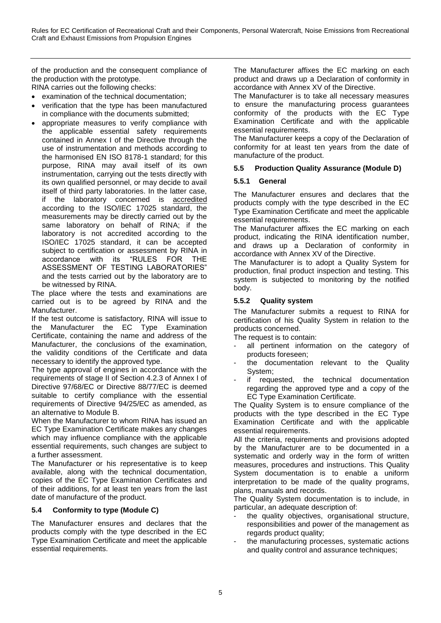of the production and the consequent compliance of the production with the prototype.

RINA carries out the following checks:

- examination of the technical documentation;
- verification that the type has been manufactured in compliance with the documents submitted;
- appropriate measures to verify compliance with the applicable essential safety requirements contained in Annex I of the Directive through the use of instrumentation and methods according to the harmonised EN ISO 8178-1 standard; for this purpose, RINA may avail itself of its own instrumentation, carrying out the tests directly with its own qualified personnel, or may decide to avail itself of third party laboratories. In the latter case, if the laboratory concerned is accredited according to the ISO/IEC 17025 standard, the measurements may be directly carried out by the same laboratory on behalf of RINA; if the laboratory is not accredited according to the ISO/IEC 17025 standard, it can be accepted subject to certification or assessment by RINA in accordance with its "RULES FOR THE ASSESSMENT OF TESTING LABORATORIES" and the tests carried out by the laboratory are to be witnessed by RINA.

The place where the tests and examinations are carried out is to be agreed by RINA and the Manufacturer.

If the test outcome is satisfactory, RINA will issue to the Manufacturer the EC Type Examination Certificate, containing the name and address of the Manufacturer, the conclusions of the examination, the validity conditions of the Certificate and data necessary to identify the approved type.

The type approval of engines in accordance with the requirements of stage II of Section 4.2.3 of Annex I of Directive 97/68/EC or Directive 88/77/EC is deemed suitable to certify compliance with the essential requirements of Directive 94/25/EC as amended, as an alternative to Module B.

When the Manufacturer to whom RINA has issued an EC Type Examination Certificate makes any changes which may influence compliance with the applicable essential requirements, such changes are subject to a further assessment.

The Manufacturer or his representative is to keep available, along with the technical documentation, copies of the EC Type Examination Certificates and of their additions, for at least ten years from the last date of manufacture of the product.

# <span id="page-7-0"></span>**5.4 Conformity to type (Module C)**

The Manufacturer ensures and declares that the products comply with the type described in the EC Type Examination Certificate and meet the applicable essential requirements.

The Manufacturer affixes the EC marking on each product and draws up a Declaration of conformity in accordance with Annex XV of the Directive.

The Manufacturer is to take all necessary measures to ensure the manufacturing process guarantees conformity of the products with the EC Type Examination Certificate and with the applicable essential requirements.

The Manufacturer keeps a copy of the Declaration of conformity for at least ten years from the date of manufacture of the product.

# <span id="page-7-1"></span>**5.5 Production Quality Assurance (Module D)**

# <span id="page-7-2"></span>**5.5.1 General**

The Manufacturer ensures and declares that the products comply with the type described in the EC Type Examination Certificate and meet the applicable essential requirements.

The Manufacturer affixes the EC marking on each product, indicating the RINA identification number, and draws up a Declaration of conformity in accordance with Annex XV of the Directive.

The Manufacturer is to adopt a Quality System for production, final product inspection and testing. This system is subjected to monitoring by the notified body.

# <span id="page-7-3"></span>**5.5.2 Quality system**

The Manufacturer submits a request to RINA for certification of his Quality System in relation to the products concerned.

The request is to contain:

- all pertinent information on the category of products foreseen;
- the documentation relevant to the Quality System;
- if requested, the technical documentation regarding the approved type and a copy of the EC Type Examination Certificate.

The Quality System is to ensure compliance of the products with the type described in the EC Type Examination Certificate and with the applicable essential requirements.

All the criteria, requirements and provisions adopted by the Manufacturer are to be documented in a systematic and orderly way in the form of written measures, procedures and instructions. This Quality System documentation is to enable a uniform interpretation to be made of the quality programs, plans, manuals and records.

The Quality System documentation is to include, in particular, an adequate description of:

- the quality objectives, organisational structure, responsibilities and power of the management as regards product quality;
- the manufacturing processes, systematic actions and quality control and assurance techniques;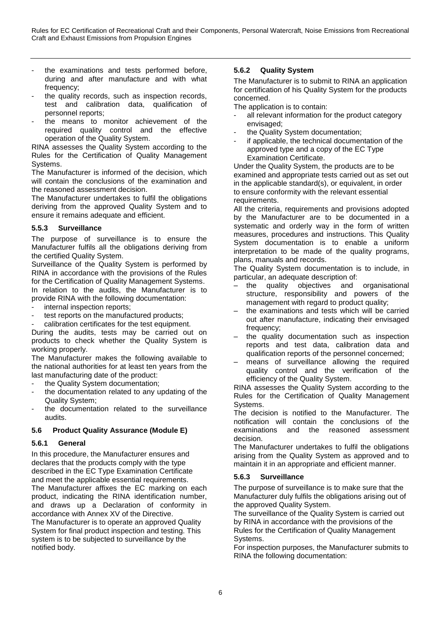- the examinations and tests performed before, during and after manufacture and with what frequency:
- the quality records, such as inspection records, test and calibration data, qualification of personnel reports;
- the means to monitor achievement of the required quality control and the effective operation of the Quality System.

RINA assesses the Quality System according to the Rules for the Certification of Quality Management Systems.

The Manufacturer is informed of the decision, which will contain the conclusions of the examination and the reasoned assessment decision.

The Manufacturer undertakes to fulfil the obligations deriving from the approved Quality System and to ensure it remains adequate and efficient.

# <span id="page-8-0"></span>**5.5.3 Surveillance**

The purpose of surveillance is to ensure the Manufacturer fulfils all the obligations deriving from the certified Quality System.

Surveillance of the Quality System is performed by RINA in accordance with the provisions of the Rules for the Certification of Quality Management Systems. In relation to the audits, the Manufacturer is to provide RINA with the following documentation:

- internal inspection reports;
- test reports on the manufactured products;
- calibration certificates for the test equipment.

During the audits, tests may be carried out on products to check whether the Quality System is working properly.

The Manufacturer makes the following available to the national authorities for at least ten years from the last manufacturing date of the product:

- the Quality System documentation;
- the documentation related to any updating of the Quality System;
- the documentation related to the surveillance audits.

# <span id="page-8-1"></span>**5.6 Product Quality Assurance (Module E)**

# <span id="page-8-2"></span>**5.6.1 General**

In this procedure, the Manufacturer ensures and declares that the products comply with the type described in the EC Type Examination Certificate and meet the applicable essential requirements. The Manufacturer affixes the EC marking on each product, indicating the RINA identification number, and draws up a Declaration of conformity in accordance with Annex XV of the Directive. The Manufacturer is to operate an approved Quality System for final product inspection and testing. This system is to be subjected to surveillance by the notified body.

# <span id="page-8-3"></span>**5.6.2 Quality System**

The Manufacturer is to submit to RINA an application for certification of his Quality System for the products concerned.

The application is to contain:

- all relevant information for the product category envisaged;
- the Quality System documentation;
- if applicable, the technical documentation of the approved type and a copy of the EC Type Examination Certificate.

Under the Quality System, the products are to be examined and appropriate tests carried out as set out in the applicable standard(s), or equivalent, in order to ensure conformity with the relevant essential requirements.

All the criteria, requirements and provisions adopted by the Manufacturer are to be documented in a systematic and orderly way in the form of written measures, procedures and instructions. This Quality System documentation is to enable a uniform interpretation to be made of the quality programs, plans, manuals and records.

The Quality System documentation is to include, in particular, an adequate description of:

- the quality objectives and organisational structure, responsibility and powers of the management with regard to product quality;
- the examinations and tests which will be carried out after manufacture, indicating their envisaged frequency;
- the quality documentation such as inspection reports and test data, calibration data and qualification reports of the personnel concerned;
- means of surveillance allowing the required quality control and the verification of the efficiency of the Quality System.

RINA assesses the Quality System according to the Rules for the Certification of Quality Management Systems.

The decision is notified to the Manufacturer. The notification will contain the conclusions of the examinations and the reasoned assessment decision.

The Manufacturer undertakes to fulfil the obligations arising from the Quality System as approved and to maintain it in an appropriate and efficient manner.

# <span id="page-8-4"></span>**5.6.3 Surveillance**

The purpose of surveillance is to make sure that the Manufacturer duly fulfils the obligations arising out of the approved Quality System.

The surveillance of the Quality System is carried out by RINA in accordance with the provisions of the Rules for the Certification of Quality Management Systems.

For inspection purposes, the Manufacturer submits to RINA the following documentation: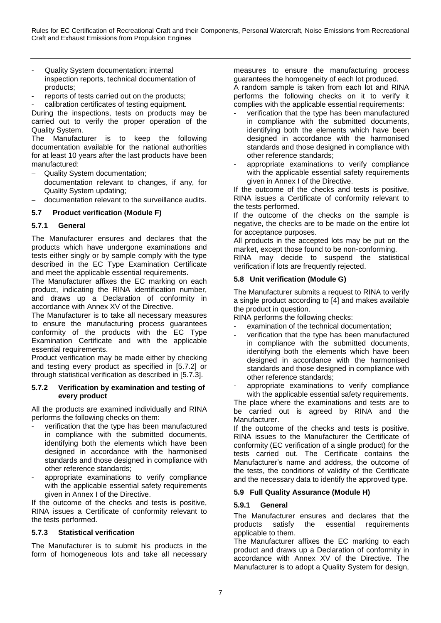- Quality System documentation; internal inspection reports, technical documentation of products;
- reports of tests carried out on the products; calibration certificates of testing equipment.

During the inspections, tests on products may be carried out to verify the proper operation of the Quality System.

The Manufacturer is to keep the following documentation available for the national authorities for at least 10 years after the last products have been manufactured:

- Quality System documentation;
- documentation relevant to changes, if any, for Quality System updating;
- documentation relevant to the surveillance audits.

# <span id="page-9-0"></span>**5.7 Product verification (Module F)**

# <span id="page-9-1"></span>**5.7.1 General**

The Manufacturer ensures and declares that the products which have undergone examinations and tests either singly or by sample comply with the type described in the EC Type Examination Certificate and meet the applicable essential requirements.

The Manufacturer affixes the EC marking on each product, indicating the RINA identification number, and draws up a Declaration of conformity in accordance with Annex XV of the Directive.

The Manufacturer is to take all necessary measures to ensure the manufacturing process guarantees conformity of the products with the EC Type Examination Certificate and with the applicable essential requirements.

Product verification may be made either by checking and testing every product as specified in [5.7.2] or through statistical verification as described in [5.7.3].

## <span id="page-9-2"></span>**5.7.2 Verification by examination and testing of every product**

All the products are examined individually and RINA performs the following checks on them:

- verification that the type has been manufactured in compliance with the submitted documents, identifying both the elements which have been designed in accordance with the harmonised standards and those designed in compliance with other reference standards;
- appropriate examinations to verify compliance with the applicable essential safety requirements given in Annex I of the Directive.

If the outcome of the checks and tests is positive, RINA issues a Certificate of conformity relevant to the tests performed.

#### <span id="page-9-3"></span>**5.7.3 Statistical verification**

The Manufacturer is to submit his products in the form of homogeneous lots and take all necessary measures to ensure the manufacturing process guarantees the homogeneity of each lot produced. A random sample is taken from each lot and RINA performs the following checks on it to verify it

- complies with the applicable essential requirements: verification that the type has been manufactured in compliance with the submitted documents, identifying both the elements which have been designed in accordance with the harmonised standards and those designed in compliance with other reference standards;
- appropriate examinations to verify compliance with the applicable essential safety requirements given in Annex I of the Directive.

If the outcome of the checks and tests is positive, RINA issues a Certificate of conformity relevant to the tests performed.

If the outcome of the checks on the sample is negative, the checks are to be made on the entire lot for acceptance purposes.

All products in the accepted lots may be put on the market, except those found to be non-conforming.

RINA may decide to suspend the statistical verification if lots are frequently rejected.

# <span id="page-9-4"></span>**5.8 Unit verification (Module G)**

The Manufacturer submits a request to RINA to verify a single product according to [4] and makes available the product in question.

RINA performs the following checks:

- examination of the technical documentation;
- verification that the type has been manufactured in compliance with the submitted documents, identifying both the elements which have been designed in accordance with the harmonised standards and those designed in compliance with other reference standards;
- appropriate examinations to verify compliance with the applicable essential safety requirements.

The place where the examinations and tests are to be carried out is agreed by RINA and the Manufacturer.

If the outcome of the checks and tests is positive, RINA issues to the Manufacturer the Certificate of conformity (EC verification of a single product) for the tests carried out. The Certificate contains the Manufacturer's name and address, the outcome of the tests, the conditions of validity of the Certificate and the necessary data to identify the approved type.

# <span id="page-9-5"></span>**5.9 Full Quality Assurance (Module H)**

# <span id="page-9-6"></span>**5.9.1 General**

The Manufacturer ensures and declares that the products satisfy the essential requirements applicable to them.

The Manufacturer affixes the EC marking to each product and draws up a Declaration of conformity in accordance with Annex XV of the Directive. The Manufacturer is to adopt a Quality System for design,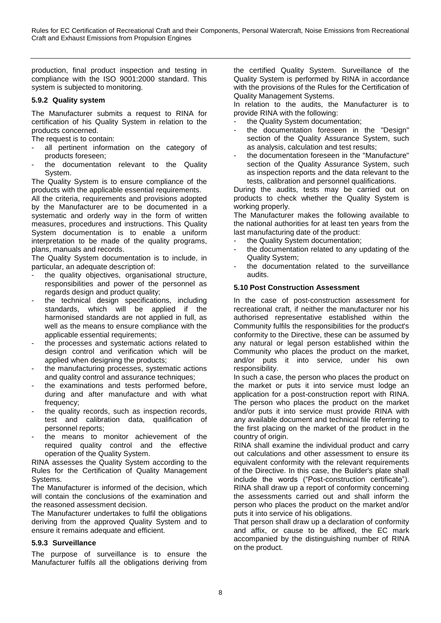production, final product inspection and testing in compliance with the ISO 9001:2000 standard. This system is subjected to monitoring.

# <span id="page-10-0"></span>**5.9.2 Quality system**

The Manufacturer submits a request to RINA for certification of his Quality System in relation to the products concerned.

- The request is to contain:
- all pertinent information on the category of products foreseen;
- the documentation relevant to the Quality System.

The Quality System is to ensure compliance of the products with the applicable essential requirements.

All the criteria, requirements and provisions adopted by the Manufacturer are to be documented in a systematic and orderly way in the form of written measures, procedures and instructions. This Quality System documentation is to enable a uniform interpretation to be made of the quality programs, plans, manuals and records.

The Quality System documentation is to include, in particular, an adequate description of:

- the quality objectives, organisational structure, responsibilities and power of the personnel as regards design and product quality;
- the technical design specifications, including standards, which will be applied if the harmonised standards are not applied in full, as well as the means to ensure compliance with the applicable essential requirements;
- the processes and systematic actions related to design control and verification which will be applied when designing the products;
- the manufacturing processes, systematic actions and quality control and assurance techniques;
- the examinations and tests performed before, during and after manufacture and with what frequency;
- the quality records, such as inspection records, test and calibration data, qualification of personnel reports;
- the means to monitor achievement of the required quality control and the effective operation of the Quality System.

RINA assesses the Quality System according to the Rules for the Certification of Quality Management Systems.

The Manufacturer is informed of the decision, which will contain the conclusions of the examination and the reasoned assessment decision.

The Manufacturer undertakes to fulfil the obligations deriving from the approved Quality System and to ensure it remains adequate and efficient.

# <span id="page-10-1"></span>**5.9.3 Surveillance**

The purpose of surveillance is to ensure the Manufacturer fulfils all the obligations deriving from the certified Quality System. Surveillance of the Quality System is performed by RINA in accordance with the provisions of the Rules for the Certification of Quality Management Systems.

In relation to the audits, the Manufacturer is to provide RINA with the following:

- the Quality System documentation;
- the documentation foreseen in the "Design" section of the Quality Assurance System, such as analysis, calculation and test results;
- the documentation foreseen in the "Manufacture" section of the Quality Assurance System, such as inspection reports and the data relevant to the tests, calibration and personnel qualifications.

During the audits, tests may be carried out on products to check whether the Quality System is working properly.

The Manufacturer makes the following available to the national authorities for at least ten years from the last manufacturing date of the product:

- the Quality System documentation;
- the documentation related to any updating of the Quality System;
- the documentation related to the surveillance audits.

# <span id="page-10-2"></span>**5.10 Post Construction Assessment**

In the case of post-construction assessment for recreational craft, if neither the manufacturer nor his authorised representative established within the Community fulfils the responsibilities for the product's conformity to the Directive, these can be assumed by any natural or legal person established within the Community who places the product on the market, and/or puts it into service, under his own responsibility.

In such a case, the person who places the product on the market or puts it into service must lodge an application for a post-construction report with RINA. The person who places the product on the market and/or puts it into service must provide RINA with any available document and technical file referring to the first placing on the market of the product in the country of origin.

RINA shall examine the individual product and carry out calculations and other assessment to ensure its equivalent conformity with the relevant requirements of the Directive. In this case, the Builder's plate shall include the words ("Post-construction certificate"). RINA shall draw up a report of conformity concerning the assessments carried out and shall inform the person who places the product on the market and/or puts it into service of his obligations.

That person shall draw up a declaration of conformity and affix, or cause to be affixed, the EC mark accompanied by the distinguishing number of RINA on the product.